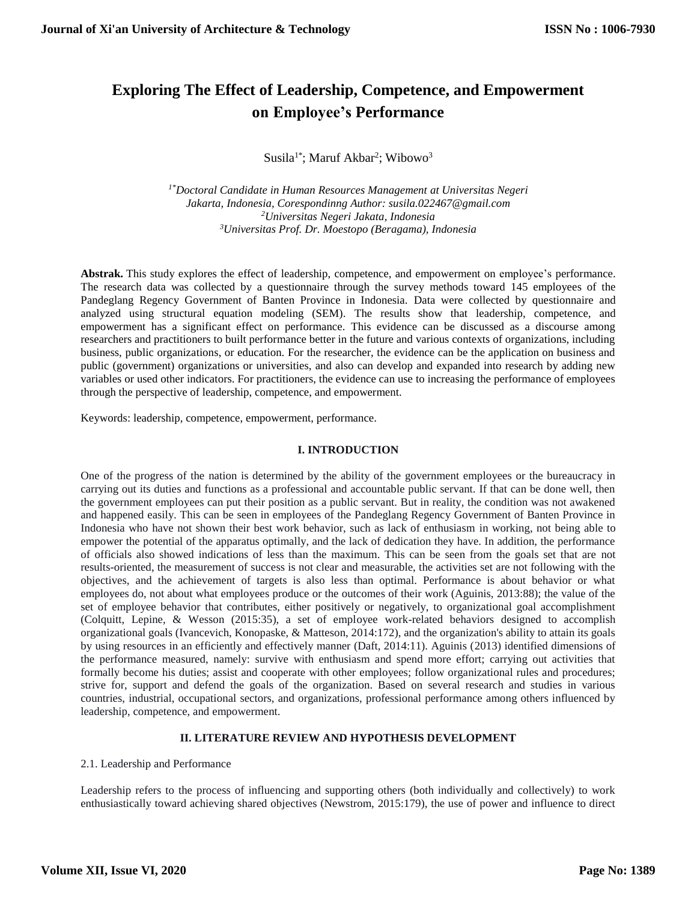# **Exploring The Effect of Leadership, Competence, and Empowerment on Employee's Performance**

Susila<sup>1\*</sup>; Maruf Akbar<sup>2</sup>; Wibowo<sup>3</sup>

*1\*Doctoral Candidate in Human Resources Management at Universitas Negeri Jakarta, Indonesia, Corespondinng Author: susila.022467@gmail.com <sup>2</sup>Universitas Negeri Jakata, Indonesia <sup>3</sup>Universitas Prof. Dr. Moestopo (Beragama), Indonesia*

**Abstrak.** This study explores the effect of leadership, competence, and empowerment on employee's performance. The research data was collected by a questionnaire through the survey methods toward 145 employees of the Pandeglang Regency Government of Banten Province in Indonesia. Data were collected by questionnaire and analyzed using structural equation modeling (SEM). The results show that leadership, competence, and empowerment has a significant effect on performance. This evidence can be discussed as a discourse among researchers and practitioners to built performance better in the future and various contexts of organizations, including business, public organizations, or education. For the researcher, the evidence can be the application on business and public (government) organizations or universities, and also can develop and expanded into research by adding new variables or used other indicators. For practitioners, the evidence can use to increasing the performance of employees through the perspective of leadership, competence, and empowerment.

Keywords: leadership, competence, empowerment, performance.

# **I. INTRODUCTION**

One of the progress of the nation is determined by the ability of the government employees or the bureaucracy in carrying out its duties and functions as a professional and accountable public servant. If that can be done well, then the government employees can put their position as a public servant. But in reality, the condition was not awakened and happened easily. This can be seen in employees of the Pandeglang Regency Government of Banten Province in Indonesia who have not shown their best work behavior, such as lack of enthusiasm in working, not being able to empower the potential of the apparatus optimally, and the lack of dedication they have. In addition, the performance of officials also showed indications of less than the maximum. This can be seen from the goals set that are not results-oriented, the measurement of success is not clear and measurable, the activities set are not following with the objectives, and the achievement of targets is also less than optimal. Performance is about behavior or what employees do, not about what employees produce or the outcomes of their work (Aguinis, 2013:88); the value of the set of employee behavior that contributes, either positively or negatively, to organizational goal accomplishment (Colquitt, Lepine, & Wesson (2015:35), a set of employee work-related behaviors designed to accomplish organizational goals (Ivancevich, Konopaske, & Matteson, 2014:172), and the organization's ability to attain its goals by using resources in an efficiently and effectively manner (Daft, 2014:11). Aguinis (2013) identified dimensions of the performance measured, namely: survive with enthusiasm and spend more effort; carrying out activities that formally become his duties; assist and cooperate with other employees; follow organizational rules and procedures; strive for, support and defend the goals of the organization. Based on several research and studies in various countries, industrial, occupational sectors, and organizations, professional performance among others influenced by leadership, competence, and empowerment.

### **II. LITERATURE REVIEW AND HYPOTHESIS DEVELOPMENT**

### 2.1. Leadership and Performance

Leadership refers to the process of influencing and supporting others (both individually and collectively) to work enthusiastically toward achieving shared objectives (Newstrom, 2015:179), the use of power and influence to direct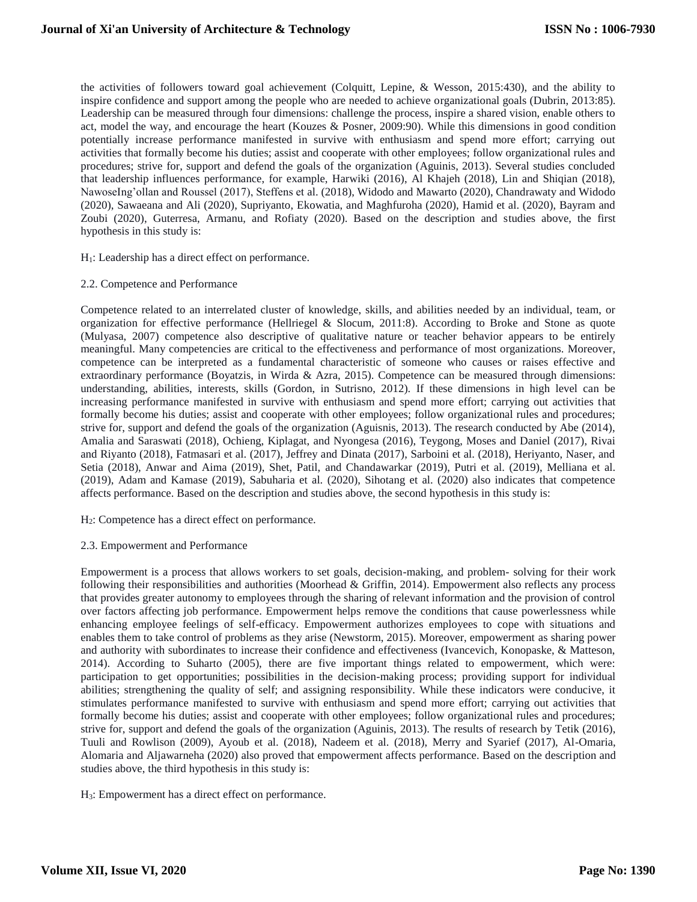the activities of followers toward goal achievement (Colquitt, Lepine, & Wesson, 2015:430), and the ability to inspire confidence and support among the people who are needed to achieve organizational goals (Dubrin, 2013:85). Leadership can be measured through four dimensions: challenge the process, inspire a shared vision, enable others to act, model the way, and encourage the heart (Kouzes & Posner, 2009:90). While this dimensions in good condition potentially increase performance manifested in survive with enthusiasm and spend more effort; carrying out activities that formally become his duties; assist and cooperate with other employees; follow organizational rules and procedures; strive for, support and defend the goals of the organization (Aguinis, 2013). Several studies concluded that leadership influences performance, for example, Harwiki (2016), Al Khajeh (2018), Lin and Shiqian (2018), NawoseIng'ollan and Roussel (2017), Steffens et al. (2018), Widodo and Mawarto (2020), Chandrawaty and Widodo (2020), Sawaeana and Ali (2020), Supriyanto, Ekowatia, and Maghfuroha (2020), Hamid et al. (2020), Bayram and Zoubi (2020), Guterresa, Armanu, and Rofiaty (2020). Based on the description and studies above, the first hypothesis in this study is:

- H1: Leadership has a direct effect on performance.
- 2.2. Competence and Performance

Competence related to an interrelated cluster of knowledge, skills, and abilities needed by an individual, team, or organization for effective performance (Hellriegel & Slocum, 2011:8). According to Broke and Stone as quote (Mulyasa, 2007) competence also descriptive of qualitative nature or teacher behavior appears to be entirely meaningful. Many competencies are critical to the effectiveness and performance of most organizations. Moreover, competence can be interpreted as a fundamental characteristic of someone who causes or raises effective and extraordinary performance (Boyatzis, in Wirda & Azra, 2015). Competence can be measured through dimensions: understanding, abilities, interests, skills (Gordon, in Sutrisno, 2012). If these dimensions in high level can be increasing performance manifested in survive with enthusiasm and spend more effort; carrying out activities that formally become his duties; assist and cooperate with other employees; follow organizational rules and procedures; strive for, support and defend the goals of the organization (Aguisnis, 2013). The research conducted by Abe (2014), Amalia and Saraswati (2018), Ochieng, Kiplagat, and Nyongesa (2016), Teygong, Moses and Daniel (2017), Rivai and Riyanto (2018), Fatmasari et al. (2017), Jeffrey and Dinata (2017), Sarboini et al. (2018), Heriyanto, Naser, and Setia (2018), Anwar and Aima (2019), Shet, Patil, and Chandawarkar (2019), Putri et al. (2019), Melliana et al. (2019), Adam and Kamase (2019), Sabuharia et al. (2020), Sihotang et al. (2020) also indicates that competence affects performance. Based on the description and studies above, the second hypothesis in this study is:

- H2: Competence has a direct effect on performance.
- 2.3. Empowerment and Performance

Empowerment is a process that allows workers to set goals, decision-making, and problem- solving for their work following their responsibilities and authorities (Moorhead & Griffin, 2014). Empowerment also reflects any process that provides greater autonomy to employees through the sharing of relevant information and the provision of control over factors affecting job performance. Empowerment helps remove the conditions that cause powerlessness while enhancing employee feelings of self-efficacy. Empowerment authorizes employees to cope with situations and enables them to take control of problems as they arise (Newstorm, 2015). Moreover, empowerment as sharing power and authority with subordinates to increase their confidence and effectiveness (Ivancevich, Konopaske, & Matteson, 2014). According to Suharto (2005), there are five important things related to empowerment, which were: participation to get opportunities; possibilities in the decision-making process; providing support for individual abilities; strengthening the quality of self; and assigning responsibility. While these indicators were conducive, it stimulates performance manifested to survive with enthusiasm and spend more effort; carrying out activities that formally become his duties; assist and cooperate with other employees; follow organizational rules and procedures; strive for, support and defend the goals of the organization (Aguinis, 2013). The results of research by Tetik (2016), Tuuli and Rowlison (2009), Ayoub et al. (2018), Nadeem et al. (2018), Merry and Syarief (2017), Al-Omaria, Alomaria and Aljawarneha (2020) also proved that empowerment affects performance. Based on the description and studies above, the third hypothesis in this study is:

H3: Empowerment has a direct effect on performance.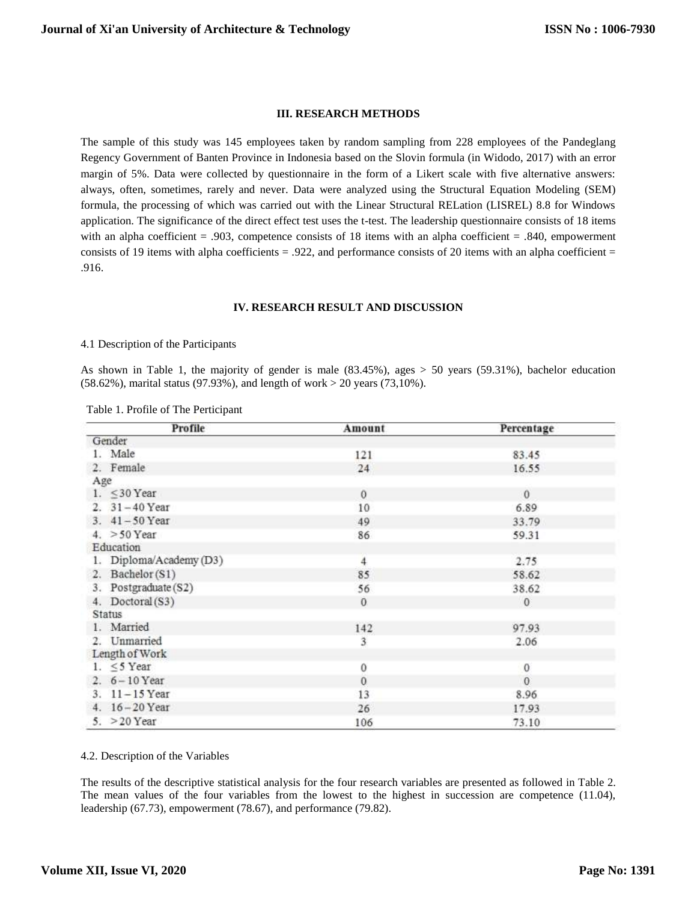# **III. RESEARCH METHODS**

The sample of this study was 145 employees taken by random sampling from 228 employees of the Pandeglang Regency Government of Banten Province in Indonesia based on the Slovin formula (in Widodo, 2017) with an error margin of 5%. Data were collected by questionnaire in the form of a Likert scale with five alternative answers: always, often, sometimes, rarely and never. Data were analyzed using the Structural Equation Modeling (SEM) formula, the processing of which was carried out with the Linear Structural RELation (LISREL) 8.8 for Windows application. The significance of the direct effect test uses the t-test. The leadership questionnaire consists of 18 items with an alpha coefficient = .903, competence consists of 18 items with an alpha coefficient = .840, empowerment consists of 19 items with alpha coefficients  $= .922$ , and performance consists of 20 items with an alpha coefficient  $=$ .916.

#### **IV. RESEARCH RESULT AND DISCUSSION**

### 4.1 Description of the Participants

As shown in Table 1, the majority of gender is male (83.45%), ages > 50 years (59.31%), bachelor education (58.62%), marital status (97.93%), and length of work > 20 years (73,10%).

|  | Table 1. Profile of The Perticipant |  |  |
|--|-------------------------------------|--|--|
|--|-------------------------------------|--|--|

| Profile                 | Amount   | Percentage |
|-------------------------|----------|------------|
| Gender                  |          |            |
| 1. Male                 | 121      | 83.45      |
| 2. Female               | 24       | 16.55      |
| Age                     |          |            |
| 1. $\leq$ 30 Year       | $\theta$ | $\theta$   |
| 2. 31-40 Year           | 10       | 6.89       |
| 3. 41-50 Year           | 49       | 33.79      |
| 4. $>50$ Year           | 86       | 59.31      |
| Education               |          |            |
| 1. Diploma/Academy (D3) | 4        | 2.75       |
| 2. Bachelor (S1)        | 85       | 58.62      |
| Postgraduate (S2)<br>3. | 56       | 38.62      |
| 4. Doctoral (S3)        | $\theta$ | $\theta$   |
| Status                  |          |            |
| 1. Married              | 142      | 97.93      |
| 2. Unmarried            | 3        | 2.06       |
| Length of Work          |          |            |
| 1. $\leq$ 5 Year        | 0        | $\theta$   |
| 2. $6 - 10$ Year        | $\theta$ | $\theta$   |
| 3. 11-15 Year           | 13       | 8.96       |
| 4. 16-20 Year           | 26       | 17.93      |
| 5. $>20$ Year           | 106      | 73.10      |

#### 4.2. Description of the Variables

The results of the descriptive statistical analysis for the four research variables are presented as followed in Table 2. The mean values of the four variables from the lowest to the highest in succession are competence (11.04), leadership (67.73), empowerment (78.67), and performance (79.82).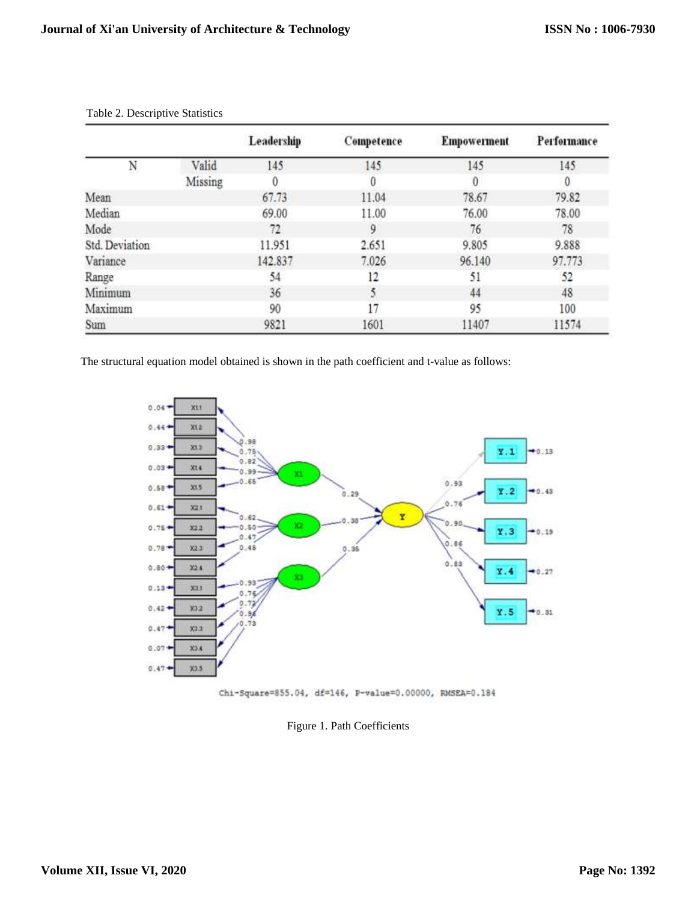|                |         | Leadership | Competence | <b>Empowerment</b> | Performance |
|----------------|---------|------------|------------|--------------------|-------------|
| N              | Valid   | 145        | 145        | 145                | 145         |
|                | Missing | 0          | 0          | 0                  | $\theta$    |
| Mean           |         | 67.73      | 11.04      | 78.67              | 79.82       |
| Median         |         | 69.00      | 11.00      | 76.00              | 78.00       |
| Mode           |         | 72         | 9          | 76                 | 78          |
| Std. Deviation |         | 11.951     | 2.651      | 9.805              | 9.888       |
| Variance       |         | 142.837    | 7.026      | 96.140             | 97.773      |
| Range          |         | 54         | 12         | 51                 | 52          |
| Minimum        |         | 36         | 5          | 44                 | 48          |
| Maximum        |         | 90         | 17         | 95                 | 100         |
| Sum            |         | 9821       | 1601       | 11407              | 11574       |

Table 2. Descriptive Statistics

The structural equation model obtained is shown in the path coefficient and t-value as follows:





Figure 1. Path Coefficients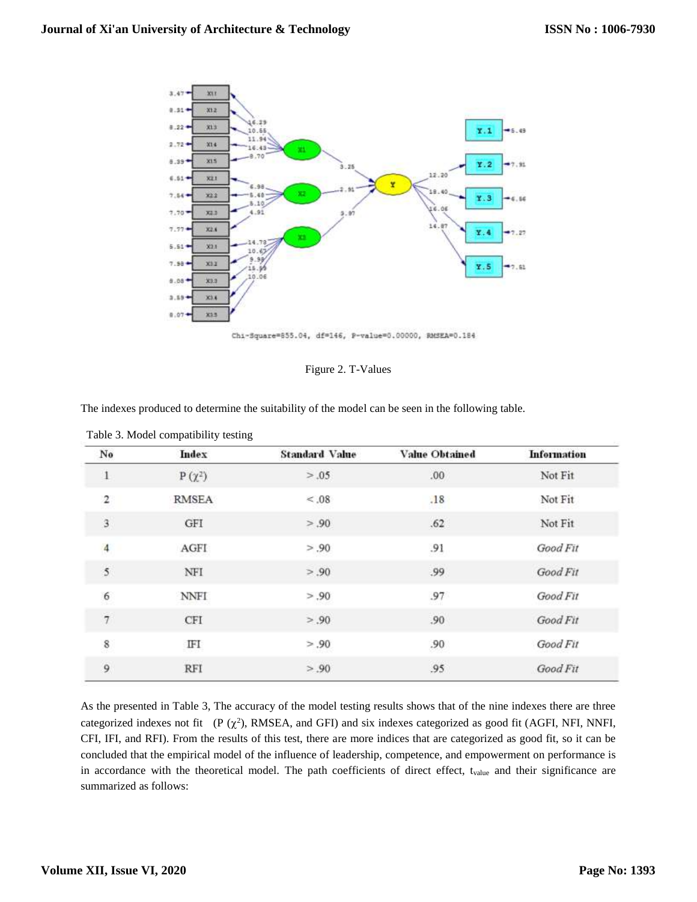

|  |  | Figure 2. T-Values |
|--|--|--------------------|
|--|--|--------------------|

The indexes produced to determine the suitability of the model can be seen in the following table.

| No                      | Index       | <b>Standard Value</b> | <b>Value Obtained</b> | <b>Information</b> |
|-------------------------|-------------|-----------------------|-----------------------|--------------------|
| $\mathbf{1}$            | $P(\chi^2)$ | > .05                 | $.00\,$               | Not Fit            |
| 2                       | RMSEA       | < 0.08                | .18                   | Not Fit            |
| 3                       | GFI         | > .90                 | .62                   | Not Fit            |
| $\overline{\mathbf{4}}$ | AGFI        | > .90                 | .91                   | Good Fit           |
| 5                       | NFI         | > .90                 | .99                   | Good Fit           |
| 6                       | <b>NNFI</b> | > .90                 | .97                   | Good Fit           |
| $\overline{\tau}$       | CFI         | > .90                 | .90                   | Good Fit           |
| 8                       | IFΙ         | > .90                 | .90                   | Good Fit           |
| 9                       | RFI         | > .90                 | .95                   | Good Fit           |

As the presented in Table 3, The accuracy of the model testing results shows that of the nine indexes there are three categorized indexes not fit  $(P(\chi^2), \text{RMSEA}, \text{and GFI})$  and six indexes categorized as good fit (AGFI, NFI, NNFI, CFI, IFI, and RFI). From the results of this test, there are more indices that are categorized as good fit, so it can be concluded that the empirical model of the influence of leadership, competence, and empowerment on performance is in accordance with the theoretical model. The path coefficients of direct effect, t<sub>value</sub> and their significance are summarized as follows: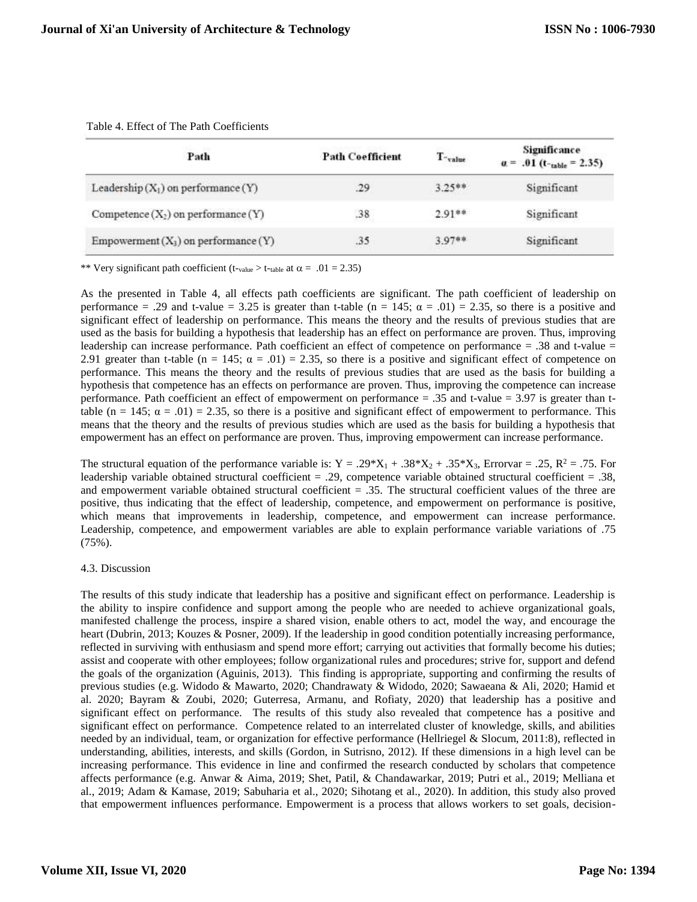| Path                                     | <b>Path Coefficient</b> | $T$ -value | Significance<br>$\alpha$ = .01 (t- <sub>table</sub> = 2.35) |
|------------------------------------------|-------------------------|------------|-------------------------------------------------------------|
| Leadership $(X_1)$ on performance $(Y)$  | .29                     | $3.25**$   | Significant                                                 |
| Competence $(X_2)$ on performance $(Y)$  | .38                     | $2.91**$   | Significant                                                 |
| Empowerment $(X_3)$ on performance $(Y)$ | .35                     | $3.97**$   | Significant                                                 |

Table 4. Effect of The Path Coefficients

\*\* Very significant path coefficient (t-value > t-table at  $\alpha = .01 = 2.35$ )

As the presented in Table 4, all effects path coefficients are significant. The path coefficient of leadership on performance = .29 and t-value = 3.25 is greater than t-table (n = 145;  $\alpha$  = .01) = 2.35, so there is a positive and significant effect of leadership on performance. This means the theory and the results of previous studies that are used as the basis for building a hypothesis that leadership has an effect on performance are proven. Thus, improving leadership can increase performance. Path coefficient an effect of competence on performance = .38 and t-value = 2.91 greater than t-table (n = 145;  $\alpha$  = .01) = 2.35, so there is a positive and significant effect of competence on performance. This means the theory and the results of previous studies that are used as the basis for building a hypothesis that competence has an effects on performance are proven. Thus, improving the competence can increase performance. Path coefficient an effect of empowerment on performance = .35 and t-value = 3.97 is greater than ttable (n = 145;  $\alpha$  = .01) = 2.35, so there is a positive and significant effect of empowerment to performance. This means that the theory and the results of previous studies which are used as the basis for building a hypothesis that empowerment has an effect on performance are proven. Thus, improving empowerment can increase performance.

The structural equation of the performance variable is:  $Y = .29*X_1 + .38*X_2 + .35*X_3$ , Errorvar = .25,  $R^2 = .75$ . For leadership variable obtained structural coefficient = .29, competence variable obtained structural coefficient = .38, and empowerment variable obtained structural coefficient = .35. The structural coefficient values of the three are positive, thus indicating that the effect of leadership, competence, and empowerment on performance is positive, which means that improvements in leadership, competence, and empowerment can increase performance. Leadership, competence, and empowerment variables are able to explain performance variable variations of .75 (75%).

### 4.3. Discussion

The results of this study indicate that leadership has a positive and significant effect on performance. Leadership is the ability to inspire confidence and support among the people who are needed to achieve organizational goals, manifested challenge the process, inspire a shared vision, enable others to act, model the way, and encourage the heart (Dubrin, 2013; Kouzes & Posner, 2009). If the leadership in good condition potentially increasing performance, reflected in surviving with enthusiasm and spend more effort; carrying out activities that formally become his duties; assist and cooperate with other employees; follow organizational rules and procedures; strive for, support and defend the goals of the organization (Aguinis, 2013). This finding is appropriate, supporting and confirming the results of previous studies (e.g. Widodo & Mawarto, 2020; Chandrawaty & Widodo, 2020; Sawaeana & Ali, 2020; Hamid et al. 2020; Bayram & Zoubi, 2020; Guterresa, Armanu, and Rofiaty, 2020) that leadership has a positive and significant effect on performance. The results of this study also revealed that competence has a positive and significant effect on performance. Competence related to an interrelated cluster of knowledge, skills, and abilities needed by an individual, team, or organization for effective performance (Hellriegel & Slocum, 2011:8), reflected in understanding, abilities, interests, and skills (Gordon, in Sutrisno, 2012). If these dimensions in a high level can be increasing performance. This evidence in line and confirmed the research conducted by scholars that competence affects performance (e.g. Anwar & Aima, 2019; Shet, Patil, & Chandawarkar, 2019; Putri et al., 2019; Melliana et al., 2019; Adam & Kamase, 2019; Sabuharia et al., 2020; Sihotang et al., 2020). In addition, this study also proved that empowerment influences performance. Empowerment is a process that allows workers to set goals, decision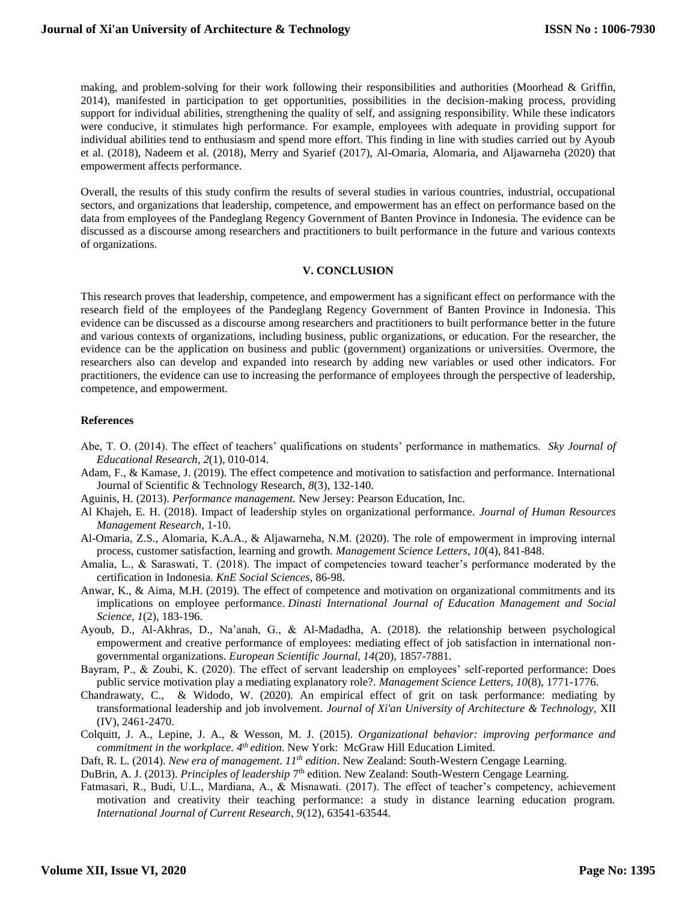making, and problem-solving for their work following their responsibilities and authorities (Moorhead & Griffin, 2014), manifested in participation to get opportunities, possibilities in the decision-making process, providing support for individual abilities, strengthening the quality of self, and assigning responsibility. While these indicators were conducive, it stimulates high performance. For example, employees with adequate in providing support for individual abilities tend to enthusiasm and spend more effort. This finding in line with studies carried out by Ayoub et al. (2018), Nadeem et al. (2018), Merry and Syarief (2017), Al-Omaria, Alomaria, and Aljawarneha (2020) that empowerment affects performance.

Overall, the results of this study confirm the results of several studies in various countries, industrial, occupational sectors, and organizations that leadership, competence, and empowerment has an effect on performance based on the data from employees of the Pandeglang Regency Government of Banten Province in Indonesia. The evidence can be discussed as a discourse among researchers and practitioners to built performance in the future and various contexts of organizations.

#### **V. CONCLUSION**

This research proves that leadership, competence, and empowerment has a significant effect on performance with the research field of the employees of the Pandeglang Regency Government of Banten Province in Indonesia. This evidence can be discussed as a discourse among researchers and practitioners to built performance better in the future and various contexts of organizations, including business, public organizations, or education. For the researcher, the evidence can be the application on business and public (government) organizations or universities. Overmore, the researchers also can develop and expanded into research by adding new variables or used other indicators. For practitioners, the evidence can use to increasing the performance of employees through the perspective of leadership, competence, and empowerment.

### **References**

- Abe, T. O. (2014). The effect of teachers' qualifications on students' performance in mathematics. *Sky Journal of Educational Research*, *2*(1), 010-014.
- Adam, F., & Kamase, J. (2019). The effect competence and motivation to satisfaction and performance. International Journal of Scientific & Technology Research, *8*(3), 132-140.
- Aguinis, H. (2013). *Performance management.* New Jersey: Pearson Education, Inc.
- Al Khajeh, E. H. (2018). Impact of leadership styles on organizational performance. *Journal of Human Resources Management Research,* 1-10.
- Al-Omaria, Z.S., Alomaria, K.A.A., & Aljawarneha, N.M. (2020). The role of empowerment in improving internal process, customer satisfaction, learning and growth. *Management Science Letters*, *10*(4), 841-848.
- Amalia, L., & Saraswati, T. (2018). The impact of competencies toward teacher's performance moderated by the certification in Indonesia. *KnE Social Sciences*, 86-98.
- Anwar, K., & Aima, M.H. (2019). The effect of competence and motivation on organizational commitments and its implications on employee performance. *Dinasti International Journal of Education Management and Social Science*, *1*(2), 183-196.
- Ayoub, D., Al-Akhras, D., Na'anah, G., & Al-Madadha, A. (2018). the relationship between psychological empowerment and creative performance of employees: mediating effect of job satisfaction in international nongovernmental organizations. *European Scientific Journal, 14*(20), 1857-7881.
- Bayram, P., & Zoubi, K. (2020). The effect of servant leadership on employees' self-reported performance: Does public service motivation play a mediating explanatory role?. *Management Science Letters, 10*(8), 1771-1776.
- Chandrawaty, C., & Widodo, W. (2020). An empirical effect of grit on task performance: mediating by transformational leadership and job involvement. *Journal of Xi'an University of Architecture & Technology,* XII (IV), 2461-2470.
- Colquitt, J. A., Lepine, J. A., & Wesson, M. J. (2015). *Organizational behavior: improving performance and*  commitment in the workplace. 4<sup>th</sup> edition. New York: McGraw Hill Education Limited.

Daft, R. L. (2014). *New era of management. 11th edition*. New Zealand: South-Western Cengage Learning.

DuBrin, A. J. (2013). *Principles of leadership* 7<sup>th</sup> edition. New Zealand: South-Western Cengage Learning.

Fatmasari, R., Budi, U.L., Mardiana, A., & Misnawati. (2017). The effect of teacher's competency, achievement motivation and creativity their teaching performance: a study in distance learning education program. *International Journal of Current Research, 9*(12), 63541-63544.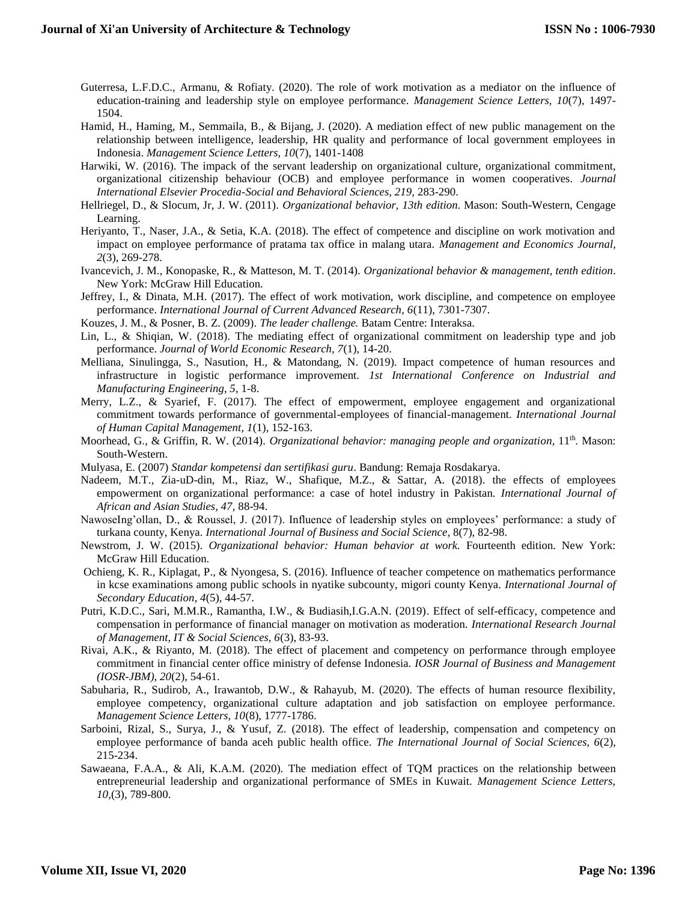- Guterresa, L.F.D.C., Armanu, & Rofiaty. (2020). The role of work motivation as a mediator on the influence of education-training and leadership style on employee performance. *Management Science Letters, 10*(7), 1497- 1504.
- Hamid, H., Haming, M., Semmaila, B., & Bijang, J. (2020). A mediation effect of new public management on the relationship between intelligence, leadership, HR quality and performance of local government employees in Indonesia. *Management Science Letters, 10*(7), 1401-1408
- Harwiki, W. (2016). The impack of the servant leadership on organizational culture, organizational commitment, organizational citizenship behaviour (OCB) and employee performance in women cooperatives. *Journal International Elsevier Procedia-Social and Behavioral Sciences, 219,* 283-290.
- Hellriegel, D., & Slocum, Jr, J. W. (2011). *Organizational behavior, 13th edition*. Mason: South-Western, Cengage Learning.
- Heriyanto, T., Naser, J.A., & Setia, K.A. (2018). The effect of competence and discipline on work motivation and impact on employee performance of pratama tax office in malang utara. *Management and Economics Journal, 2*(3), 269-278.
- Ivancevich, J. M., Konopaske, R., & Matteson, M. T. (2014). *Organizational behavior & management, tenth edition*. New York: McGraw Hill Education.
- Jeffrey, I., & Dinata, M.H. (2017). The effect of work motivation, work discipline, and competence on employee performance. *International Journal of Current Advanced Research, 6*(11), 7301-7307.
- Kouzes, J. M., & Posner, B. Z. (2009). *The leader challenge.* Batam Centre: Interaksa.
- Lin, L., & Shiqian, W. (2018). The mediating effect of organizational commitment on leadership type and job performance. *Journal of World Economic Research, 7*(1), 14-20.
- Melliana, Sinulingga, S., Nasution, H., & Matondang, N. (2019). Impact competence of human resources and infrastructure in logistic performance improvement. *1st International Conference on Industrial and Manufacturing Engineering, 5*, 1-8.
- Merry, L.Z., & Syarief, F. (2017). The effect of empowerment, employee engagement and organizational commitment towards performance of governmental-employees of financial-management. *[International Journal](http://journal.unj.ac.id/unj/index.php/ijhcm/issue/view/140)  [of Human Capital Management,](http://journal.unj.ac.id/unj/index.php/ijhcm/issue/view/140) 1*(1), 152-163.
- Moorhead, G., & Griffin, R. W. (2014). *Organizational behavior: managing people and organization*, 11<sup>th</sup>. Mason: South-Western.
- Mulyasa, E. (2007) *Standar kompetensi dan sertifikasi guru*. Bandung: Remaja Rosdakarya.
- Nadeem, M.T., Zia-uD-din, M., Riaz, W., Shafique, M.Z., & Sattar, A. (2018). the effects of employees empowerment on organizational performance: a case of hotel industry in Pakistan. *International Journal of African and Asian Studies, 47,* 88-94.
- NawoseIng'ollan, D., & Roussel, J. (2017). Influence of leadership styles on employees' performance: a study of turkana county, Kenya. *International Journal of Business and Social Science*, 8(7), 82-98.
- Newstrom, J. W. (2015). *Organizational behavior: Human behavior at work.* Fourteenth edition. New York: McGraw Hill Education.
- Ochieng, K. R., Kiplagat, P., & Nyongesa, S. (2016). Influence of teacher competence on mathematics performance in kcse examinations among public schools in nyatike subcounty, migori county Kenya. *International Journal of Secondary Education*, *4*(5), 44-57.
- Putri, K.D.C., Sari, M.M.R., Ramantha, I.W., & Budiasih,I.G.A.N. (2019). Effect of self-efficacy, competence and compensation in performance of financial manager on motivation as moderation. *International Research Journal of Management, IT & Social Sciences, 6*(3), 83-93.
- Rivai, A.K., & Riyanto, M. (2018). The effect of placement and competency on performance through employee commitment in financial center office ministry of defense Indonesia. *IOSR Journal of Business and Management (IOSR-JBM), 20*(2), 54-61.
- Sabuharia, R., Sudirob, A., Irawantob, D.W., & Rahayub, M. (2020). The effects of human resource flexibility, employee competency, organizational culture adaptation and job satisfaction on employee performance. *Management Science Letters, 10*(8), 1777-1786.
- Sarboini, Rizal, S., Surya, J., & Yusuf, Z. (2018). The effect of leadership, compensation and competency on employee performance of banda aceh public health office. *The International Journal of Social Sciences, 6*(2), 215-234.
- Sawaeana, F.A.A., & Ali, K.A.M. (2020). The mediation effect of TQM practices on the relationship between entrepreneurial leadership and organizational performance of SMEs in Kuwait. *Management Science Letters, 10,*(3), 789-800.